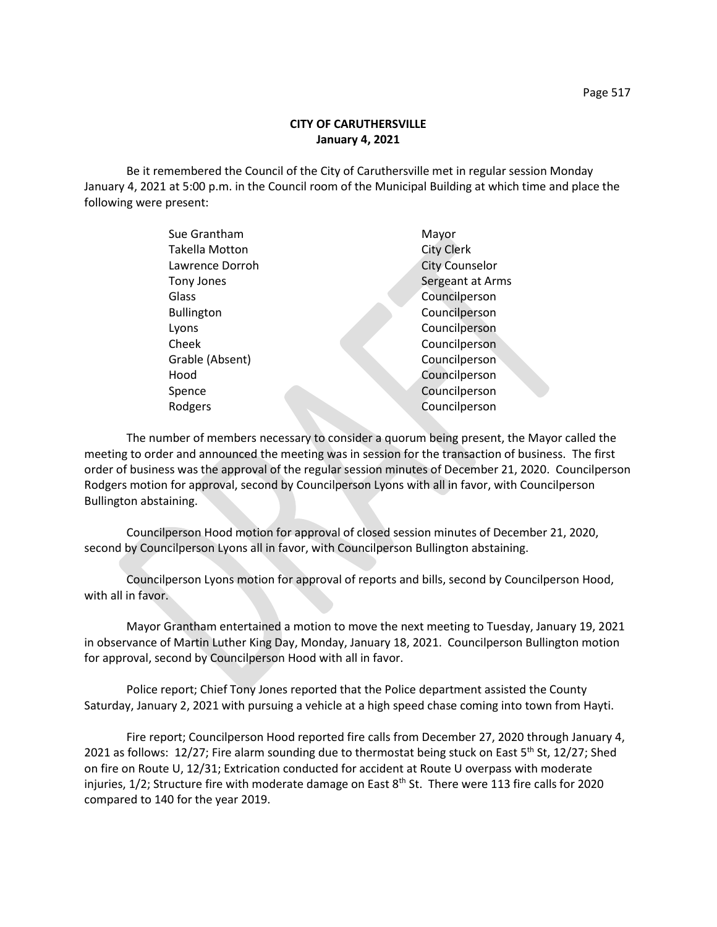## **CITY OF CARUTHERSVILLE January 4, 2021**

Be it remembered the Council of the City of Caruthersville met in regular session Monday January 4, 2021 at 5:00 p.m. in the Council room of the Municipal Building at which time and place the following were present:

| Sue Grantham          | Mayor                 |
|-----------------------|-----------------------|
| <b>Takella Motton</b> | <b>City Clerk</b>     |
| Lawrence Dorroh       | <b>City Counselor</b> |
| Tony Jones            | Sergeant at Arms      |
| Glass                 | Councilperson         |
| <b>Bullington</b>     | Councilperson         |
| Lyons                 | Councilperson         |
| Cheek                 | Councilperson         |
| Grable (Absent)       | Councilperson         |
| Hood                  | Councilperson         |
| Spence                | Councilperson         |
| Rodgers               | Councilperson         |
|                       |                       |

The number of members necessary to consider a quorum being present, the Mayor called the meeting to order and announced the meeting was in session for the transaction of business. The first order of business was the approval of the regular session minutes of December 21, 2020. Councilperson Rodgers motion for approval, second by Councilperson Lyons with all in favor, with Councilperson Bullington abstaining.

Councilperson Hood motion for approval of closed session minutes of December 21, 2020, second by Councilperson Lyons all in favor, with Councilperson Bullington abstaining.

Councilperson Lyons motion for approval of reports and bills, second by Councilperson Hood, with all in favor.

Mayor Grantham entertained a motion to move the next meeting to Tuesday, January 19, 2021 in observance of Martin Luther King Day, Monday, January 18, 2021. Councilperson Bullington motion for approval, second by Councilperson Hood with all in favor.

Police report; Chief Tony Jones reported that the Police department assisted the County Saturday, January 2, 2021 with pursuing a vehicle at a high speed chase coming into town from Hayti.

Fire report; Councilperson Hood reported fire calls from December 27, 2020 through January 4, 2021 as follows: 12/27; Fire alarm sounding due to thermostat being stuck on East 5<sup>th</sup> St, 12/27; Shed on fire on Route U, 12/31; Extrication conducted for accident at Route U overpass with moderate injuries, 1/2; Structure fire with moderate damage on East 8<sup>th</sup> St. There were 113 fire calls for 2020 compared to 140 for the year 2019.